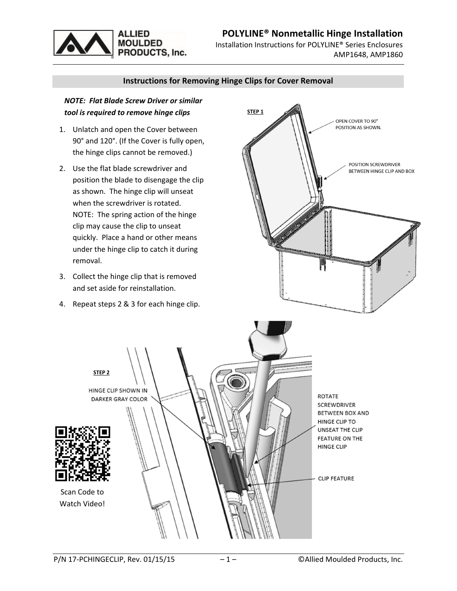# **POLYLINE® Nonmetallic Hinge Installation**



Installation Instructions for POLYLINE® Series Enclosures AMP1648, AMP1860

### **Instructions for Removing Hinge Clips for Cover Removal**

## *NOTE: Flat Blade Screw Driver or similar tool is required to remove hinge clips*

- 1. Unlatch and open the Cover between 90° and 120°. (If the Cover is fully open, the hinge clips cannot be removed.)
- 2. Use the flat blade screwdriver and position the blade to disengage the clip as shown. The hinge clip will unseat when the screwdriver is rotated. NOTE: The spring action of the hinge clip may cause the clip to unseat quickly. Place a hand or other means under the hinge clip to catch it during removal.
- 3. Collect the hinge clip that is removed and set aside for reinstallation.
- 4. Repeat steps 2 & 3 for each hinge clip.